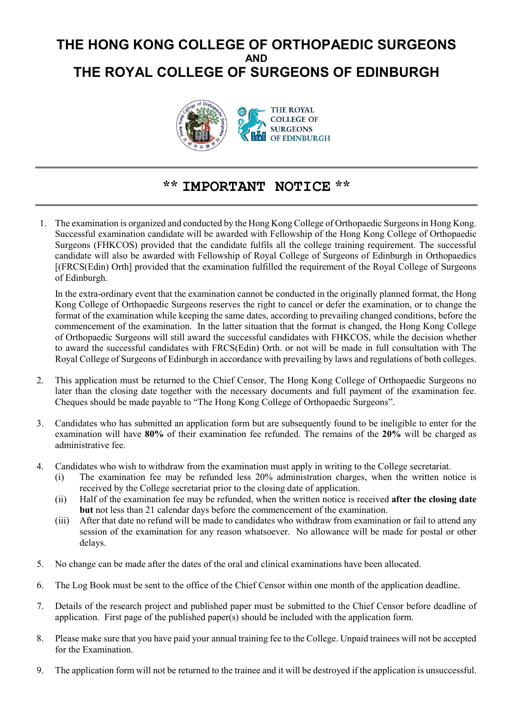# **THE HONG KONG COLLEGE OF ORTHOPAEDIC SURGEONS AND THE ROYAL COLLEGE OF SURGEONS OF EDINBURGH**



#### **\*\* IMPORTANT NOTICE \*\***

1. The examination is organized and conducted by the Hong Kong College of Orthopaedic Surgeons in Hong Kong. Successful examination candidate will be awarded with Fellowship of the Hong Kong College of Orthopaedic Surgeons (FHKCOS) provided that the candidate fulfils all the college training requirement. The successful candidate will also be awarded with Fellowship of Royal College of Surgeons of Edinburgh in Orthopaedics [(FRCS(Edin) Orth] provided that the examination fulfilled the requirement of the Royal College of Surgeons of Edinburgh.

In the extra-ordinary event that the examination cannot be conducted in the originally planned format, the Hong Kong College of Orthopaedic Surgeons reserves the right to cancel or defer the examination, or to change the format of the examination while keeping the same dates, according to prevailing changed conditions, before the commencement of the examination. In the latter situation that the format is changed, the Hong Kong College of Orthopaedic Surgeons will still award the successful candidates with FHKCOS, while the decision whether to award the successful candidates with FRCS(Edin) Orth. or not will be made in full consultation with The Royal College of Surgeons of Edinburgh in accordance with prevailing by laws and regulations of both colleges.

- 2. This application must be returned to the Chief Censor, The Hong Kong College of Orthopaedic Surgeons no later than the closing date together with the necessary documents and full payment of the examination fee. Cheques should be made payable to "The Hong Kong College of Orthopaedic Surgeons".
- 3. Candidates who has submitted an application form but are subsequently found to be ineligible to enter for the examination will have **80%** of their examination fee refunded. The remains of the **20%** will be charged as administrative fee.
- 4. Candidates who wish to withdraw from the examination must apply in writing to the College secretariat.
	- (i) The examination fee may be refunded less 20% administration charges, when the written notice is received by the College secretariat prior to the closing date of application.
	- (ii) Half of the examination fee may be refunded, when the written notice is received **after the closing date but** not less than 21 calendar days before the commencement of the examination.
	- (iii) After that date no refund will be made to candidates who withdraw from examination or fail to attend any session of the examination for any reason whatsoever. No allowance will be made for postal or other delays.
- 5. No change can be made after the dates of the oral and clinical examinations have been allocated.
- 6. The Log Book must be sent to the office of the Chief Censor within one month of the application deadline.
- 7. Details of the research project and published paper must be submitted to the Chief Censor before deadline of application. First page of the published paper(s) should be included with the application form.
- 8. Please make sure that you have paid your annual training fee to the College. Unpaid trainees will not be accepted for the Examination.
- 9. The application form will not be returned to the trainee and it will be destroyed if the application is unsuccessful.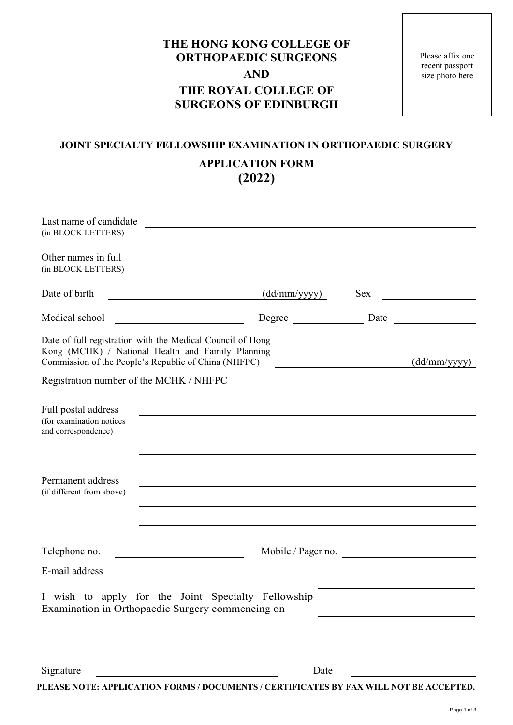## **THE HONG KONG COLLEGE OF ORTHOPAEDIC SURGEONS AND THE ROYAL COLLEGE OF SURGEONS OF EDINBURGH**

Please affix one recent passport size photo here

## **JOINT SPECIALTY FELLOWSHIP EXAMINATION IN ORTHOPAEDIC SURGERY APPLICATION FORM**

**(2022)**

| Last name of candidate<br>(in BLOCK LETTERS)                                                                                                                            |                                                                                                                     |                    |
|-------------------------------------------------------------------------------------------------------------------------------------------------------------------------|---------------------------------------------------------------------------------------------------------------------|--------------------|
| Other names in full<br>(in BLOCK LETTERS)                                                                                                                               |                                                                                                                     |                    |
| Date of birth                                                                                                                                                           | $\frac{\text{(dd/mm/yyyy)}}{}$                                                                                      | Sex                |
| Medical school                                                                                                                                                          | Degree<br><u> 1990 - Johann Barbara, martin a</u>                                                                   |                    |
| Date of full registration with the Medical Council of Hong<br>Kong (MCHK) / National Health and Family Planning<br>Commission of the People's Republic of China (NHFPC) |                                                                                                                     | (dd/mm/yyyy)       |
| Registration number of the MCHK / NHFPC                                                                                                                                 |                                                                                                                     |                    |
| Full postal address<br>(for examination notices<br>and correspondence)                                                                                                  | <u> 1989 - Johann John Stoff, deutscher Stoffen und der Stoffen und der Stoffen und der Stoffen und der Stoffen</u> |                    |
| Permanent address<br>(if different from above)                                                                                                                          |                                                                                                                     |                    |
| Telephone no.                                                                                                                                                           |                                                                                                                     | Mobile / Pager no. |
| E-mail address                                                                                                                                                          |                                                                                                                     |                    |
| Examination in Orthopaedic Surgery commencing on                                                                                                                        | wish to apply for the Joint Specialty Fellowship                                                                    |                    |
|                                                                                                                                                                         |                                                                                                                     |                    |
| Signature                                                                                                                                                               | Date<br>PLEASE NOTE: APPLICATION FORMS / DOCUMENTS / CERTIFICATES BY FAX WILL NOT BE ACCEPTED.                      |                    |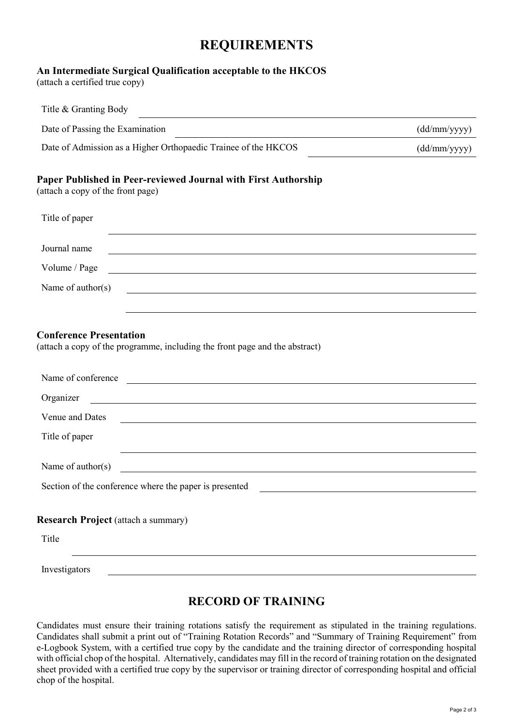## **REQUIREMENTS**

#### **An Intermediate Surgical Qualification acceptable to the HKCOS**

(attach a certified true copy)

| Title & Granting Body                                                                                                                                                                                                                                       |                                                                                                                                                                                                                               |
|-------------------------------------------------------------------------------------------------------------------------------------------------------------------------------------------------------------------------------------------------------------|-------------------------------------------------------------------------------------------------------------------------------------------------------------------------------------------------------------------------------|
| Date of Passing the Examination                                                                                                                                                                                                                             | (dd/mm/yyyy)                                                                                                                                                                                                                  |
| Date of Admission as a Higher Orthopaedic Trainee of the HKCOS                                                                                                                                                                                              | (dd/mm/yyyy)                                                                                                                                                                                                                  |
| Paper Published in Peer-reviewed Journal with First Authorship<br>(attach a copy of the front page)                                                                                                                                                         |                                                                                                                                                                                                                               |
| Title of paper                                                                                                                                                                                                                                              |                                                                                                                                                                                                                               |
| Journal name                                                                                                                                                                                                                                                | the control of the control of the control of the control of the control of the control of the control of the control of the control of the control of the control of the control of the control of the control of the control |
| Volume / Page                                                                                                                                                                                                                                               | <u> 1989 - Johann Stoff, amerikansk politiker (d. 1989)</u>                                                                                                                                                                   |
| Name of author(s)                                                                                                                                                                                                                                           |                                                                                                                                                                                                                               |
| <b>Conference Presentation</b><br>(attach a copy of the programme, including the front page and the abstract)<br>Name of conference<br><u> Alexandria de la contrada de la contrada de la contrada de la contrada de la contrada de la contrada de la c</u> |                                                                                                                                                                                                                               |
| Organizer<br><u> 1989 - Johann Stoff, Amerikaansk politiker († 1908)</u>                                                                                                                                                                                    |                                                                                                                                                                                                                               |
| Venue and Dates<br><u> 1980 - Johann Barn, mars ann an t-Amhain Aonaich an t-Aonaich an t-Aonaich ann an t-Aonaich ann an t-Aonaich</u><br>Title of paper                                                                                                   |                                                                                                                                                                                                                               |
| Name of $\text{author}(s)$                                                                                                                                                                                                                                  |                                                                                                                                                                                                                               |
| Section of the conference where the paper is presented                                                                                                                                                                                                      |                                                                                                                                                                                                                               |
| <b>Research Project (attach a summary)</b>                                                                                                                                                                                                                  |                                                                                                                                                                                                                               |
| Title                                                                                                                                                                                                                                                       |                                                                                                                                                                                                                               |
| Investigators                                                                                                                                                                                                                                               |                                                                                                                                                                                                                               |

#### **RECORD OF TRAINING**

Candidates must ensure their training rotations satisfy the requirement as stipulated in the training regulations. Candidates shall submit a print out of "Training Rotation Records" and "Summary of Training Requirement" from e-Logbook System, with a certified true copy by the candidate and the training director of corresponding hospital with official chop of the hospital. Alternatively, candidates may fill in the record of training rotation on the designated sheet provided with a certified true copy by the supervisor or training director of corresponding hospital and official chop of the hospital.